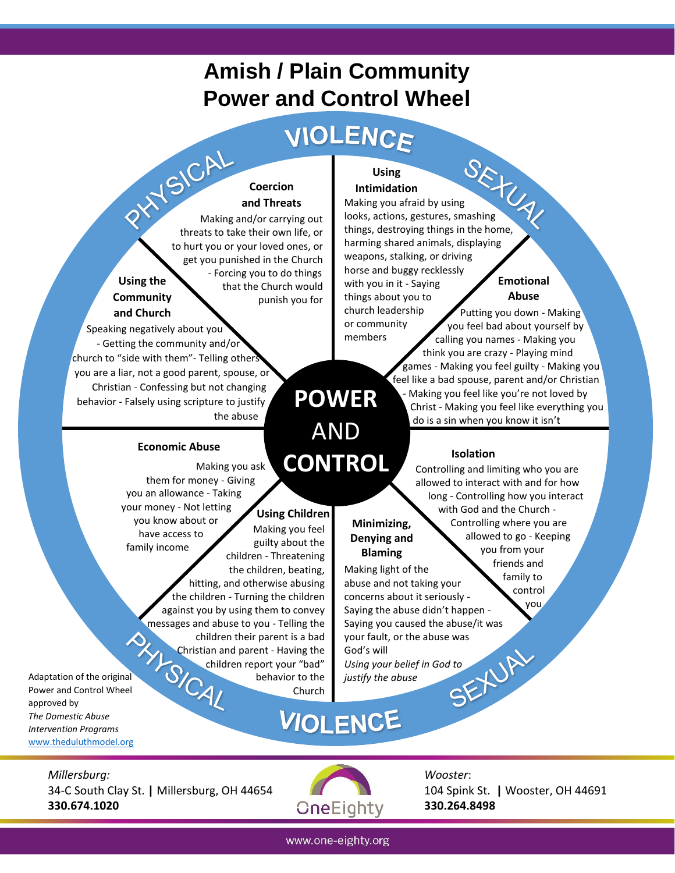## **Amish / Plain Community Power and Control Wheel**

# VIOLENCE

#### **Coercion and Threats**

Making and/or carrying out threats to take their own life, or to hurt you or your loved ones, or get you punished in the Church - Forcing you to do things that the Church would punish you for

 Speaking negatively about you . - Getting the community and/or church to "side with them"- Telling other . you are a liar, not a good parent, spouse, or . Christian - Confessing but not changing . behavior - Falsely using scripture to justify . the abuse

**Economic Abuse**

 them for money - Giving you an allowance - Taking your money - Not letting you know about or have access to family income

**Using the Community and Church**

# **POWER**  AND **CONTROL**

members

**Minimizing, Denying and Blaming**

God's will

*justify the abuse*

**Using Children**

Making you feel guilty about the children - Threatening the children, beating,

> behavior to the Church

 hitting, and otherwise abusing the children - Turning the children against you by using them to convey

Making you ask

 children their parent is a bad Christian and parent - Having the children report your "bad"

## **Intimidation**

**Using**

Using<br>Intimidation<br>Making you afraid by using looks, actions, gestures, smashing things, destroying things in the home, harming shared animals, displaying weapons, stalking, or driving horse and buggy recklessly with you in it - Saying things about you to church leadership or community

#### **Emotional Abuse**

 Putting you down - Making you feel bad about yourself by calling you names - Making you think you are crazy - Playing mind games - Making you feel guilty - Making you feel like a bad spouse, parent and/or Christian - Making you feel like you're not loved by Christ - Making you feel like everything you do is a sin when you know it isn't

### **Isolation**

concerns about it seriously - control Saying the abuse didn't happen -

Saying you caused the abuse/it was

*Using your belief in God to*

Making light of the abuse and not taking your Controlling and limiting who you are allowed to interact with and for how long - Controlling how you interact with God and the Church - Controlling where you are allowed to go - Keeping you from your friends and family to

messages and abuse to you - Telling the<br>
children their parent is a bad<br>
Christian and parent - Having the<br>
children report your "bad"<br>
behavior to the<br>
Church Adaptation of the original Power and Control Wheel approved by *The Domestic Abuse Intervention Programs* [www.theduluthmodel.org](http://www.theduluthmodel.org/)

# your fault, or the abuse was<br>God's will<br>Using your belief in God to<br>justify the abuse **VIOLENCE**

*Millersburg:* 34-C South Clay St. **|** Millersburg, OH 44654 **330.674.1020**



*Wooster*: 104 Spink St. **|** Wooster, OH 44691 **330.264.8498** 

www.one-eighty.org